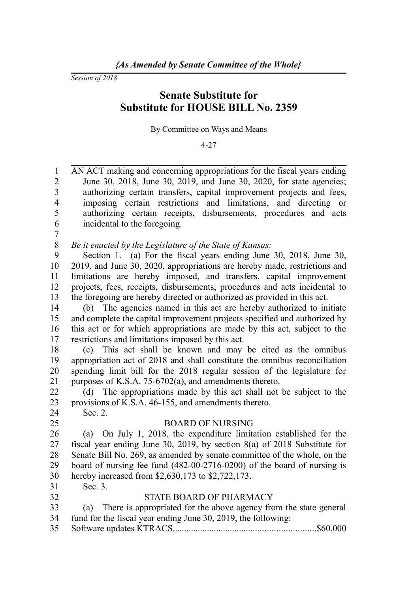*Session of 2018*

# **Senate Substitute for Substitute for HOUSE BILL No. 2359**

By Committee on Ways and Means

4-27

AN ACT making and concerning appropriations for the fiscal years ending June 30, 2018, June 30, 2019, and June 30, 2020, for state agencies; authorizing certain transfers, capital improvement projects and fees, imposing certain restrictions and limitations, and directing or authorizing certain receipts, disbursements, procedures and acts incidental to the foregoing. 1 2 3 4 5 6

7

*Be it enacted by the Legislature of the State of Kansas:* 8

Section 1. (a) For the fiscal years ending June 30, 2018, June 30, 2019, and June 30, 2020, appropriations are hereby made, restrictions and limitations are hereby imposed, and transfers, capital improvement projects, fees, receipts, disbursements, procedures and acts incidental to the foregoing are hereby directed or authorized as provided in this act. 9 10 11 12 13

(b) The agencies named in this act are hereby authorized to initiate and complete the capital improvement projects specified and authorized by this act or for which appropriations are made by this act, subject to the restrictions and limitations imposed by this act. 14 15 16 17

(c) This act shall be known and may be cited as the omnibus appropriation act of 2018 and shall constitute the omnibus reconciliation spending limit bill for the 2018 regular session of the legislature for purposes of K.S.A. 75-6702(a), and amendments thereto. 18 19 20 21

(d) The appropriations made by this act shall not be subject to the provisions of K.S.A. 46-155, and amendments thereto. Sec. 2. 22 23

24

25

#### BOARD OF NURSING

(a) On July 1, 2018, the expenditure limitation established for the fiscal year ending June 30, 2019, by section 8(a) of 2018 Substitute for Senate Bill No. 269, as amended by senate committee of the whole, on the board of nursing fee fund (482-00-2716-0200) of the board of nursing is hereby increased from \$2,630,173 to \$2,722,173. 26 27 28 29 30

Sec. 3. 31

32

# STATE BOARD OF PHARMACY

- (a) There is appropriated for the above agency from the state general fund for the fiscal year ending June 30, 2019, the following: 33 34
- Software updates KTRACS..............................................................\$60,000 35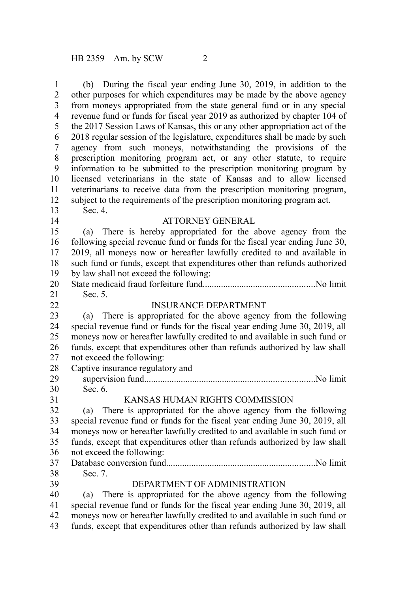(b) During the fiscal year ending June 30, 2019, in addition to the other purposes for which expenditures may be made by the above agency from moneys appropriated from the state general fund or in any special revenue fund or funds for fiscal year 2019 as authorized by chapter 104 of the 2017 Session Laws of Kansas, this or any other appropriation act of the 2018 regular session of the legislature, expenditures shall be made by such agency from such moneys, notwithstanding the provisions of the prescription monitoring program act, or any other statute, to require information to be submitted to the prescription monitoring program by licensed veterinarians in the state of Kansas and to allow licensed veterinarians to receive data from the prescription monitoring program, subject to the requirements of the prescription monitoring program act. Sec. 4. ATTORNEY GENERAL (a) There is hereby appropriated for the above agency from the following special revenue fund or funds for the fiscal year ending June 30, 1 2 3 4 5 6 7 8 9 10 11 12 13 14 15 16

2019, all moneys now or hereafter lawfully credited to and available in such fund or funds, except that expenditures other than refunds authorized by law shall not exceed the following: 17 18 19

State medicaid fraud forfeiture fund.................................................No limit Sec. 5. 20 21

INSURANCE DEPARTMENT

- (a) There is appropriated for the above agency from the following special revenue fund or funds for the fiscal year ending June 30, 2019, all moneys now or hereafter lawfully credited to and available in such fund or funds, except that expenditures other than refunds authorized by law shall not exceed the following: Captive insurance regulatory and 23 24 25 26 27 28
- supervision fund..........................................................................No limit Sec. 6. 29 30 31

# KANSAS HUMAN RIGHTS COMMISSION

(a) There is appropriated for the above agency from the following special revenue fund or funds for the fiscal year ending June 30, 2019, all moneys now or hereafter lawfully credited to and available in such fund or funds, except that expenditures other than refunds authorized by law shall not exceed the following: Database conversion fund.................................................................No limit Sec. 7. 32 33 34 35 36 37

38

39

22

#### DEPARTMENT OF ADMINISTRATION

(a) There is appropriated for the above agency from the following special revenue fund or funds for the fiscal year ending June 30, 2019, all moneys now or hereafter lawfully credited to and available in such fund or funds, except that expenditures other than refunds authorized by law shall 40 41 42 43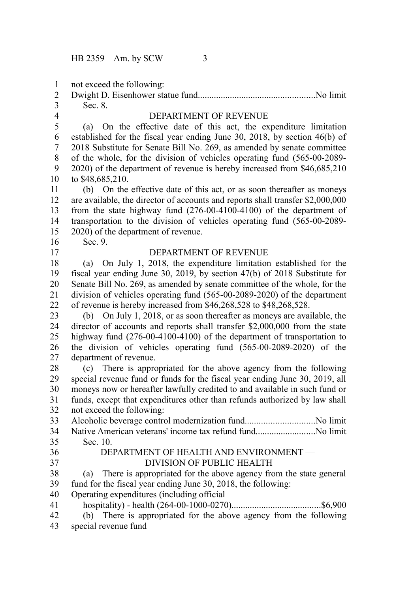not exceed the following: 1

| 3 Sec. 8. |  |
|-----------|--|

4

# DEPARTMENT OF REVENUE

(a) On the effective date of this act, the expenditure limitation established for the fiscal year ending June 30, 2018, by section 46(b) of 2018 Substitute for Senate Bill No. 269, as amended by senate committee of the whole, for the division of vehicles operating fund (565-00-2089- 2020) of the department of revenue is hereby increased from \$46,685,210 to \$48,685,210. 5 6 7 8 9 10

(b) On the effective date of this act, or as soon thereafter as moneys are available, the director of accounts and reports shall transfer \$2,000,000 from the state highway fund (276-00-4100-4100) of the department of transportation to the division of vehicles operating fund (565-00-2089- 2020) of the department of revenue. 11 12 13 14 15

16 17 Sec. 9.

# DEPARTMENT OF REVENUE

(a) On July 1, 2018, the expenditure limitation established for the fiscal year ending June 30, 2019, by section 47(b) of 2018 Substitute for Senate Bill No. 269, as amended by senate committee of the whole, for the division of vehicles operating fund (565-00-2089-2020) of the department of revenue is hereby increased from \$46,268,528 to \$48,268,528. 18 19 20 21 22

(b) On July 1, 2018, or as soon thereafter as moneys are available, the director of accounts and reports shall transfer \$2,000,000 from the state highway fund (276-00-4100-4100) of the department of transportation to the division of vehicles operating fund (565-00-2089-2020) of the department of revenue. 23 24 25 26 27

(c) There is appropriated for the above agency from the following special revenue fund or funds for the fiscal year ending June 30, 2019, all moneys now or hereafter lawfully credited to and available in such fund or funds, except that expenditures other than refunds authorized by law shall not exceed the following: 28 29 30 31 32

Alcoholic beverage control modernization fund..............................No limit Native American veterans' income tax refund fund..........................No limit Sec. 10. 33 34 35

36 37

#### DEPARTMENT OF HEALTH AND ENVIRONMENT — DIVISION OF PUBLIC HEALTH

(a) There is appropriated for the above agency from the state general fund for the fiscal year ending June 30, 2018, the following: 38 39

- Operating expenditures (including official 40
- hospitality) health (264-00-1000-0270).......................................\$6,900 41
- (b) There is appropriated for the above agency from the following special revenue fund 42 43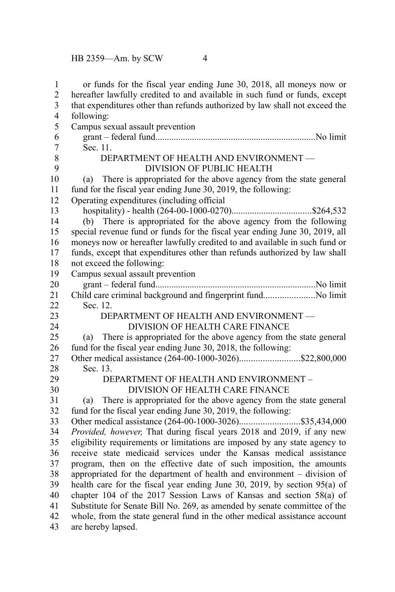| 1<br>$\overline{c}$                       | or funds for the fiscal year ending June 30, 2018, all moneys now or<br>hereafter lawfully credited to and available in such fund or funds, except |  |  |
|-------------------------------------------|----------------------------------------------------------------------------------------------------------------------------------------------------|--|--|
| $\overline{\mathbf{3}}$<br>$\overline{4}$ | that expenditures other than refunds authorized by law shall not exceed the<br>following:                                                          |  |  |
| 5                                         | Campus sexual assault prevention                                                                                                                   |  |  |
| 6                                         |                                                                                                                                                    |  |  |
| $\overline{7}$                            | Sec. 11.                                                                                                                                           |  |  |
| 8                                         | DEPARTMENT OF HEALTH AND ENVIRONMENT -                                                                                                             |  |  |
| 9                                         | <b>DIVISION OF PUBLIC HEALTH</b>                                                                                                                   |  |  |
| 10                                        | There is appropriated for the above agency from the state general<br>(a)                                                                           |  |  |
| 11                                        | fund for the fiscal year ending June 30, 2019, the following:                                                                                      |  |  |
| 12                                        | Operating expenditures (including official                                                                                                         |  |  |
| 13                                        |                                                                                                                                                    |  |  |
| 14                                        | (b) There is appropriated for the above agency from the following                                                                                  |  |  |
| 15                                        | special revenue fund or funds for the fiscal year ending June 30, 2019, all                                                                        |  |  |
| 16                                        | moneys now or hereafter lawfully credited to and available in such fund or                                                                         |  |  |
| 17                                        | funds, except that expenditures other than refunds authorized by law shall                                                                         |  |  |
| 18                                        | not exceed the following:                                                                                                                          |  |  |
| 19                                        | Campus sexual assault prevention                                                                                                                   |  |  |
| 20                                        |                                                                                                                                                    |  |  |
| 21                                        | Child care criminal background and fingerprint fundNo limit                                                                                        |  |  |
| 22                                        | Sec. 12.                                                                                                                                           |  |  |
| 23                                        | DEPARTMENT OF HEALTH AND ENVIRONMENT -                                                                                                             |  |  |
| 24                                        | DIVISION OF HEALTH CARE FINANCE                                                                                                                    |  |  |
| 25                                        | There is appropriated for the above agency from the state general<br>(a)                                                                           |  |  |
| 26                                        | fund for the fiscal year ending June 30, 2018, the following:                                                                                      |  |  |
| 27                                        | Other medical assistance (264-00-1000-3026)\$22,800,000                                                                                            |  |  |
| 28                                        | Sec. 13.                                                                                                                                           |  |  |
| 29                                        | DEPARTMENT OF HEALTH AND ENVIRONMENT -                                                                                                             |  |  |
| 30                                        | DIVISION OF HEALTH CARE FINANCE                                                                                                                    |  |  |
| 31                                        | There is appropriated for the above agency from the state general<br>(a)                                                                           |  |  |
| 32                                        | fund for the fiscal year ending June 30, 2019, the following:                                                                                      |  |  |
| 33                                        |                                                                                                                                                    |  |  |
| 34                                        | Provided, however, That during fiscal years 2018 and 2019, if any new                                                                              |  |  |
| 35                                        | eligibility requirements or limitations are imposed by any state agency to<br>receive state medicaid services under the Kansas medical assistance  |  |  |
| 36<br>37                                  | program, then on the effective date of such imposition, the amounts                                                                                |  |  |
| 38                                        | appropriated for the department of health and environment – division of                                                                            |  |  |
| 39                                        | health care for the fiscal year ending June 30, 2019, by section 95(a) of                                                                          |  |  |
| 40                                        | chapter 104 of the 2017 Session Laws of Kansas and section 58(a) of                                                                                |  |  |
| 41                                        | Substitute for Senate Bill No. 269, as amended by senate committee of the                                                                          |  |  |
| 42                                        | whole, from the state general fund in the other medical assistance account                                                                         |  |  |
| 43                                        | are hereby lapsed.                                                                                                                                 |  |  |
|                                           |                                                                                                                                                    |  |  |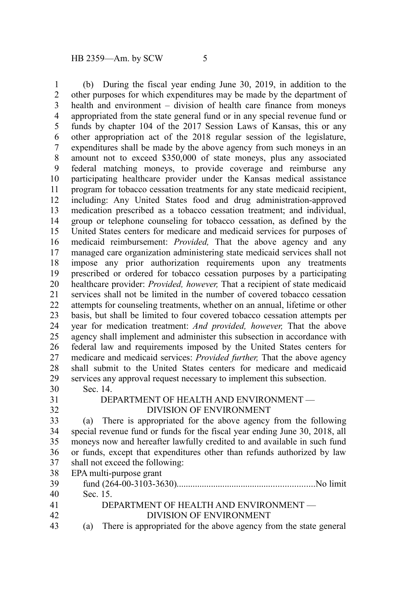(b) During the fiscal year ending June 30, 2019, in addition to the other purposes for which expenditures may be made by the department of health and environment – division of health care finance from moneys appropriated from the state general fund or in any special revenue fund or funds by chapter 104 of the 2017 Session Laws of Kansas, this or any other appropriation act of the 2018 regular session of the legislature, expenditures shall be made by the above agency from such moneys in an amount not to exceed \$350,000 of state moneys, plus any associated federal matching moneys, to provide coverage and reimburse any participating healthcare provider under the Kansas medical assistance program for tobacco cessation treatments for any state medicaid recipient, including: Any United States food and drug administration-approved medication prescribed as a tobacco cessation treatment; and individual, group or telephone counseling for tobacco cessation, as defined by the United States centers for medicare and medicaid services for purposes of medicaid reimbursement: *Provided,* That the above agency and any managed care organization administering state medicaid services shall not impose any prior authorization requirements upon any treatments prescribed or ordered for tobacco cessation purposes by a participating healthcare provider: *Provided, however,* That a recipient of state medicaid services shall not be limited in the number of covered tobacco cessation attempts for counseling treatments, whether on an annual, lifetime or other basis, but shall be limited to four covered tobacco cessation attempts per year for medication treatment: *And provided, however,* That the above agency shall implement and administer this subsection in accordance with federal law and requirements imposed by the United States centers for medicare and medicaid services: *Provided further,* That the above agency shall submit to the United States centers for medicare and medicaid services any approval request necessary to implement this subsection. Sec. 14. DEPARTMENT OF HEALTH AND ENVIRONMENT — DIVISION OF ENVIRONMENT (a) There is appropriated for the above agency from the following special revenue fund or funds for the fiscal year ending June 30, 2018, all moneys now and hereafter lawfully credited to and available in such fund or funds, except that expenditures other than refunds authorized by law shall not exceed the following: EPA multi-purpose grant fund (264-00-3103-3630)............................................................No limit Sec. 15. DEPARTMENT OF HEALTH AND ENVIRONMENT — DIVISION OF ENVIRONMENT 1 2 3 4 5 6 7 8 9 10 11 12 13 14 15 16 17 18 19 20 21 22 23 24 25 26 27 28 29 30 31 32 33 34 35 36 37 38 39 40 41 42

(a) There is appropriated for the above agency from the state general 43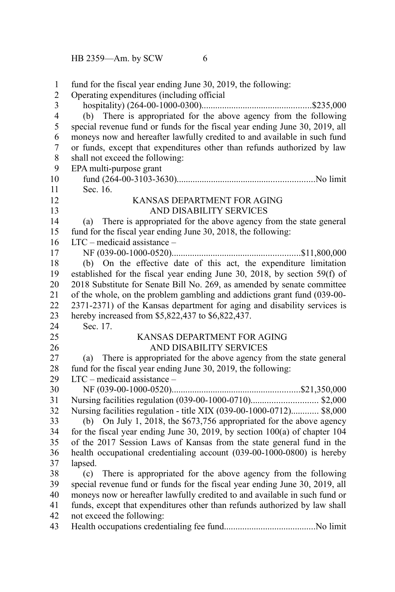fund for the fiscal year ending June 30, 2019, the following: Operating expenditures (including official hospitality) (264-00-1000-0300)................................................\$235,000 (b) There is appropriated for the above agency from the following special revenue fund or funds for the fiscal year ending June 30, 2019, all moneys now and hereafter lawfully credited to and available in such fund or funds, except that expenditures other than refunds authorized by law shall not exceed the following: EPA multi-purpose grant fund (264-00-3103-3630)............................................................No limit Sec. 16. KANSAS DEPARTMENT FOR AGING AND DISABILITY SERVICES (a) There is appropriated for the above agency from the state general fund for the fiscal year ending June 30, 2018, the following: LTC – medicaid assistance – NF (039-00-1000-0520)........................................................\$11,800,000 (b) On the effective date of this act, the expenditure limitation established for the fiscal year ending June 30, 2018, by section 59(f) of 2018 Substitute for Senate Bill No. 269, as amended by senate committee of the whole, on the problem gambling and addictions grant fund (039-00- 2371-2371) of the Kansas department for aging and disability services is hereby increased from \$5,822,437 to \$6,822,437. Sec. 17. KANSAS DEPARTMENT FOR AGING AND DISABILITY SERVICES (a) There is appropriated for the above agency from the state general fund for the fiscal year ending June 30, 2019, the following: LTC – medicaid assistance – NF (039-00-1000-0520)........................................................\$21,350,000 Nursing facilities regulation (039-00-1000-0710)............................. \$2,000 Nursing facilities regulation - title XIX (039-00-1000-0712)............ \$8,000 (b) On July 1, 2018, the \$673,756 appropriated for the above agency for the fiscal year ending June 30, 2019, by section 100(a) of chapter 104 of the 2017 Session Laws of Kansas from the state general fund in the health occupational credentialing account (039-00-1000-0800) is hereby lapsed. (c) There is appropriated for the above agency from the following special revenue fund or funds for the fiscal year ending June 30, 2019, all moneys now or hereafter lawfully credited to and available in such fund or funds, except that expenditures other than refunds authorized by law shall not exceed the following: Health occupations credentialing fee fund........................................No limit 1 2 3 4 5 6 7 8 9 10 11 12 13 14 15 16 17 18 19 20 21 22 23 24 25 26 27 28 29 30 31 32 33 34 35 36 37 38 39 40 41 42 43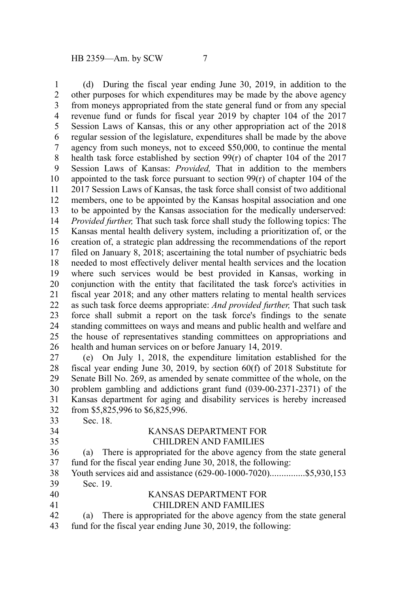(d) During the fiscal year ending June 30, 2019, in addition to the other purposes for which expenditures may be made by the above agency from moneys appropriated from the state general fund or from any special revenue fund or funds for fiscal year 2019 by chapter 104 of the 2017 Session Laws of Kansas, this or any other appropriation act of the 2018 regular session of the legislature, expenditures shall be made by the above agency from such moneys, not to exceed \$50,000, to continue the mental health task force established by section 99(r) of chapter 104 of the 2017 Session Laws of Kansas: *Provided,* That in addition to the members appointed to the task force pursuant to section  $99(r)$  of chapter 104 of the 2017 Session Laws of Kansas, the task force shall consist of two additional members, one to be appointed by the Kansas hospital association and one to be appointed by the Kansas association for the medically underserved: *Provided further,* That such task force shall study the following topics: The Kansas mental health delivery system, including a prioritization of, or the creation of, a strategic plan addressing the recommendations of the report filed on January 8, 2018; ascertaining the total number of psychiatric beds needed to most effectively deliver mental health services and the location where such services would be best provided in Kansas, working in conjunction with the entity that facilitated the task force's activities in fiscal year 2018; and any other matters relating to mental health services as such task force deems appropriate: *And provided further,* That such task force shall submit a report on the task force's findings to the senate standing committees on ways and means and public health and welfare and the house of representatives standing committees on appropriations and health and human services on or before January 14, 2019. (e) On July 1, 2018, the expenditure limitation established for the fiscal year ending June 30, 2019, by section 60(f) of 2018 Substitute for 1 2 3 4 5 6 7 8 9 10 11 12 13 14 15 16 17 18 19 20 21 22 23 24 25 26 27

Senate Bill No. 269, as amended by senate committee of the whole, on the problem gambling and addictions grant fund (039-00-2371-2371) of the Kansas department for aging and disability services is hereby increased from \$5,825,996 to \$6,825,996. 28 29 30 31 32

Sec. 18. 33

34 35

### KANSAS DEPARTMENT FOR CHILDREN AND FAMILIES

(a) There is appropriated for the above agency from the state general fund for the fiscal year ending June 30, 2018, the following: 36 37

Youth services aid and assistance (629-00-1000-7020)................\$5,930,153 Sec. 19. 38 39

#### KANSAS DEPARTMENT FOR CHILDREN AND FAMILIES 40 41

(a) There is appropriated for the above agency from the state general fund for the fiscal year ending June 30, 2019, the following: 42 43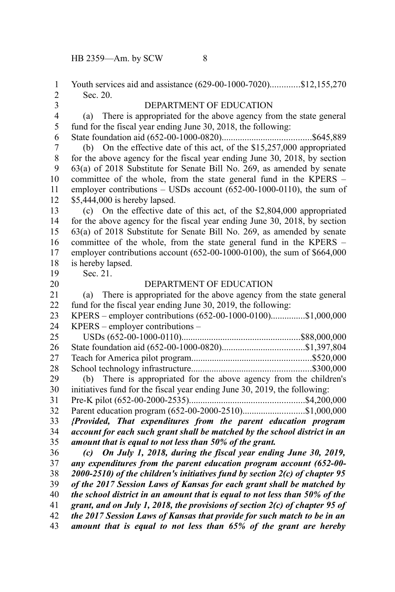Youth services aid and assistance (629-00-1000-7020).............\$12,155,270 Sec. 20. DEPARTMENT OF EDUCATION (a) There is appropriated for the above agency from the state general fund for the fiscal year ending June 30, 2018, the following: State foundation aid (652-00-1000-0820).......................................\$645,889 (b) On the effective date of this act, of the \$15,257,000 appropriated for the above agency for the fiscal year ending June 30, 2018, by section 63(a) of 2018 Substitute for Senate Bill No. 269, as amended by senate committee of the whole, from the state general fund in the KPERS – employer contributions – USDs account (652-00-1000-0110), the sum of \$5,444,000 is hereby lapsed. (c) On the effective date of this act, of the \$2,804,000 appropriated for the above agency for the fiscal year ending June 30, 2018, by section 63(a) of 2018 Substitute for Senate Bill No. 269, as amended by senate committee of the whole, from the state general fund in the KPERS – employer contributions account (652-00-1000-0100), the sum of \$664,000 is hereby lapsed. Sec. 21. DEPARTMENT OF EDUCATION (a) There is appropriated for the above agency from the state general fund for the fiscal year ending June 30, 2019, the following: KPERS – employer contributions (652-00-1000-0100)...............\$1,000,000 KPERS – employer contributions – USDs (652-00-1000-0110)....................................................\$88,000,000 State foundation aid (652-00-1000-0820)....................................\$1,397,804 Teach for America pilot program....................................................\$520,000 School technology infrastructure....................................................\$300,000 (b) There is appropriated for the above agency from the children's initiatives fund for the fiscal year ending June 30, 2019, the following: Pre-K pilot (652-00-2000-2535)..................................................\$4,200,000 Parent education program (652-00-2000-2510)...........................\$1,000,000 *{Provided, That expenditures from the parent education program account for each such grant shall be matched by the school district in an amount that is equal to not less than 50% of the grant. (c) On July 1, 2018, during the fiscal year ending June 30, 2019, any expenditures from the parent education program account (652-00- 2000-2510) of the children's initiatives fund by section 2(c) of chapter 95 of the 2017 Session Laws of Kansas for each grant shall be matched by the school district in an amount that is equal to not less than 50% of the grant, and on July 1, 2018, the provisions of section 2(c) of chapter 95 of the 2017 Session Laws of Kansas that provide for such match to be in an amount that is equal to not less than 65% of the grant are hereby* 1 2 3 4 5 6 7 8 9 10 11 12 13 14 15 16 17 18 19 20 21 22 23 24 25 26 27 28 29 30 31 32 33 34 35 36 37 38 39 40 41 42 43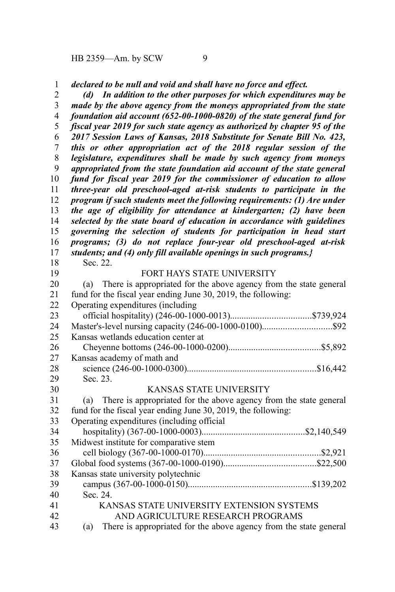*declared to be null and void and shall have no force and effect.* 1

*(d) In addition to the other purposes for which expenditures may be made by the above agency from the moneys appropriated from the state foundation aid account (652-00-1000-0820) of the state general fund for fiscal year 2019 for such state agency as authorized by chapter 95 of the 2017 Session Laws of Kansas, 2018 Substitute for Senate Bill No. 423, this or other appropriation act of the 2018 regular session of the legislature, expenditures shall be made by such agency from moneys appropriated from the state foundation aid account of the state general fund for fiscal year 2019 for the commissioner of education to allow three-year old preschool-aged at-risk students to participate in the program if such students meet the following requirements: (1) Are under the age of eligibility for attendance at kindergarten; (2) have been selected by the state board of education in accordance with guidelines governing the selection of students for participation in head start programs; (3) do not replace four-year old preschool-aged at-risk students; and (4) only fill available openings in such programs.}* Sec. 22. FORT HAYS STATE UNIVERSITY (a) There is appropriated for the above agency from the state general fund for the fiscal year ending June 30, 2019, the following: Operating expenditures (including official hospitality) (246-00-1000-0013)...................................\$739,924 Master's-level nursing capacity (246-00-1000-0100)..............................\$92 Kansas wetlands education center at Cheyenne bottoms (246-00-1000-0200)........................................\$5,892 Kansas academy of math and science (246-00-1000-0300)........................................................\$16,442 Sec. 23. KANSAS STATE UNIVERSITY (a) There is appropriated for the above agency from the state general fund for the fiscal year ending June 30, 2019, the following: Operating expenditures (including official hospitality) (367-00-1000-0003).............................................\$2,140,549 2 3 4 5 6 7 8 9 10 11 12 13 14 15 16 17 18 19 20 21 22 23 24 25 26 27 28 29 30 31 32 33 34

Midwest institute for comparative stem cell biology (367-00-1000-0170)...................................................\$2,921 Global food systems (367-00-1000-0190)........................................\$22,500 Kansas state university polytechnic campus (367-00-1000-0150)......................................................\$139,202 Sec. 24. KANSAS STATE UNIVERSITY EXTENSION SYSTEMS AND AGRICULTURE RESEARCH PROGRAMS 35 36 37 38 39 40 41 42

(a) There is appropriated for the above agency from the state general 43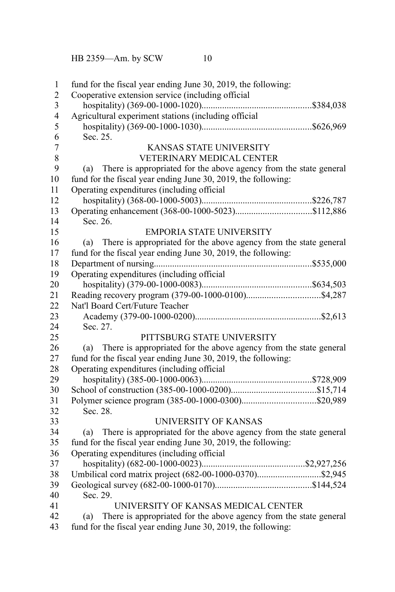fund for the fiscal year ending June 30, 2019, the following: Cooperative extension service (including official hospitality) (369-00-1000-1020)................................................\$384,038 Agricultural experiment stations (including official hospitality) (369-00-1000-1030)................................................\$626,969 Sec. 25. KANSAS STATE UNIVERSITY VETERINARY MEDICAL CENTER (a) There is appropriated for the above agency from the state general fund for the fiscal year ending June 30, 2019, the following: Operating expenditures (including official hospitality) (368-00-1000-5003)................................................\$226,787 Operating enhancement (368-00-1000-5023).................................\$112,886 Sec. 26. EMPORIA STATE UNIVERSITY (a) There is appropriated for the above agency from the state general fund for the fiscal year ending June 30, 2019, the following: Department of nursing.....................................................................\$535,000 Operating expenditures (including official hospitality) (379-00-1000-0083)................................................\$634,503 Reading recovery program (379-00-1000-0100)................................\$4,287 Nat'l Board Cert/Future Teacher Academy (379-00-1000-0200).......................................................\$2,613 Sec. 27. PITTSBURG STATE UNIVERSITY (a) There is appropriated for the above agency from the state general fund for the fiscal year ending June 30, 2019, the following: Operating expenditures (including official hospitality) (385-00-1000-0063)................................................\$728,909 School of construction (385-00-1000-0200).....................................\$15,714 Polymer science program (385-00-1000-0300)................................\$20,989 Sec. 28. UNIVERSITY OF KANSAS (a) There is appropriated for the above agency from the state general fund for the fiscal year ending June 30, 2019, the following: Operating expenditures (including official hospitality) (682-00-1000-0023).............................................\$2,927,256 Umbilical cord matrix project (682-00-1000-0370)............................\$2,945 Geological survey (682-00-1000-0170)..........................................\$144,524 Sec. 29. UNIVERSITY OF KANSAS MEDICAL CENTER (a) There is appropriated for the above agency from the state general fund for the fiscal year ending June 30, 2019, the following: 1 2 3 4 5 6 7 8 9 10 11 12 13 14 15 16 17 18 19 20 21 22 23 24 25 26 27 28 29 30 31 32 33 34 35 36 37 38 39 40 41 42 43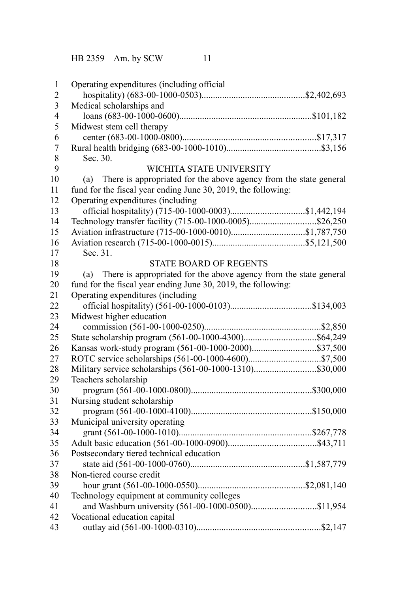Operating expenditures (including official hospitality) (683-00-1000-0503).............................................\$2,402,693 Medical scholarships and loans (683-00-1000-0600)..........................................................\$101,182 Midwest stem cell therapy center (683-00-1000-0800)..........................................................\$17,317 Rural health bridging (683-00-1000-1010).........................................\$3,156 Sec. 30. WICHITA STATE UNIVERSITY (a) There is appropriated for the above agency from the state general fund for the fiscal year ending June 30, 2019, the following: Operating expenditures (including official hospitality) (715-00-1000-0003)................................\$1,442,194 Technology transfer facility (715-00-1000-0005).............................\$26,250 Aviation infrastructure (715-00-1000-0010)................................\$1,787,750 Aviation research (715-00-1000-0015)........................................\$5,121,500 Sec. 31. STATE BOARD OF REGENTS (a) There is appropriated for the above agency from the state general fund for the fiscal year ending June 30, 2019, the following: Operating expenditures (including official hospitality) (561-00-1000-0103)...................................\$134,003 Midwest higher education commission (561-00-1000-0250)...................................................\$2,850 State scholarship program (561-00-1000-4300)...............................\$64,249 Kansas work-study program (561-00-1000-2000)............................\$37,500 ROTC service scholarships (561-00-1000-4600)...............................\$7,500 Military service scholarships (561-00-1000-1310)...........................\$30,000 Teachers scholarship program (561-00-1000-0800)....................................................\$300,000 Nursing student scholarship program (561-00-1000-4100)....................................................\$150,000 Municipal university operating grant (561-00-1000-1010)..........................................................\$267,778 Adult basic education (561-00-1000-0900)......................................\$43,711 Postsecondary tiered technical education state aid (561-00-1000-0760)..................................................\$1,587,779 Non-tiered course credit hour grant (561-00-1000-0550)..............................................\$2,081,140 Technology equipment at community colleges and Washburn university (561-00-1000-0500)............................\$11,954 Vocational education capital outlay aid (561-00-1000-0310)......................................................\$2,147 1 2 3 4 5 6 7 8 9 10 11 12 13 14 15 16 17 18 19 20 21 22 23 24 25 26 27 28 29 30 31 32 33 34 35 36 37 38 39 40 41 42 43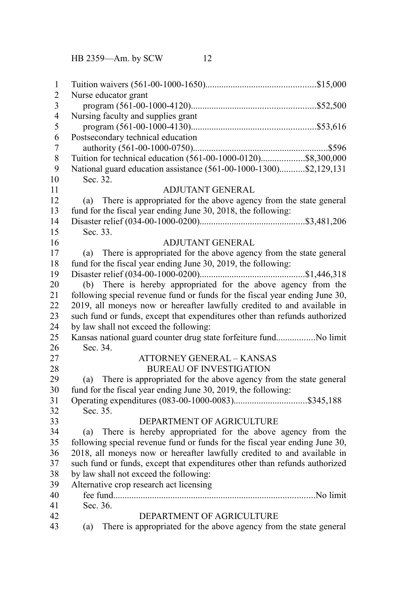| $\mathbf{1}$   |                                                                             |  |  |
|----------------|-----------------------------------------------------------------------------|--|--|
| $\overline{2}$ | Nurse educator grant                                                        |  |  |
| $\mathfrak{Z}$ |                                                                             |  |  |
| $\overline{4}$ | Nursing faculty and supplies grant                                          |  |  |
| 5              |                                                                             |  |  |
| 6              | Postsecondary technical education                                           |  |  |
| $\overline{7}$ |                                                                             |  |  |
| 8              | Tuition for technical education (561-00-1000-0120)\$8,300,000               |  |  |
| 9              | National guard education assistance (561-00-1000-1300)\$2,129,131           |  |  |
| 10             | Sec. 32.                                                                    |  |  |
| 11             | <b>ADJUTANT GENERAL</b>                                                     |  |  |
| 12             | There is appropriated for the above agency from the state general<br>(a)    |  |  |
| 13             | fund for the fiscal year ending June 30, 2018, the following:               |  |  |
| 14             |                                                                             |  |  |
| 15             | Sec. 33.                                                                    |  |  |
| 16             | <b>ADJUTANT GENERAL</b>                                                     |  |  |
| 17             | There is appropriated for the above agency from the state general<br>(a)    |  |  |
| 18             | fund for the fiscal year ending June 30, 2019, the following:               |  |  |
| 19             |                                                                             |  |  |
| 20             | (b) There is hereby appropriated for the above agency from the              |  |  |
| 21             | following special revenue fund or funds for the fiscal year ending June 30, |  |  |
| 22             | 2019, all moneys now or hereafter lawfully credited to and available in     |  |  |
| 23             | such fund or funds, except that expenditures other than refunds authorized  |  |  |
| 24             | by law shall not exceed the following:                                      |  |  |
| 25             | Kansas national guard counter drug state forfeiture fundNo limit            |  |  |
| 26             | Sec. 34.                                                                    |  |  |
| 27             | <b>ATTORNEY GENERAL - KANSAS</b>                                            |  |  |
| 28             | <b>BUREAU OF INVESTIGATION</b>                                              |  |  |
| 29             | There is appropriated for the above agency from the state general<br>(a)    |  |  |
| 30             | fund for the fiscal year ending June 30, 2019, the following:               |  |  |
| 31             |                                                                             |  |  |
| 32             | Sec. 35.                                                                    |  |  |
| 33             | DEPARTMENT OF AGRICULTURE                                                   |  |  |
| 34             | There is hereby appropriated for the above agency from the<br>(a)           |  |  |
| 35             | following special revenue fund or funds for the fiscal year ending June 30, |  |  |
| 36             | 2018, all moneys now or hereafter lawfully credited to and available in     |  |  |
| 37             | such fund or funds, except that expenditures other than refunds authorized  |  |  |
| 38             | by law shall not exceed the following:                                      |  |  |
| 39             | Alternative crop research act licensing                                     |  |  |
| 40             |                                                                             |  |  |
| 41             | Sec. 36.                                                                    |  |  |
| 42             | DEPARTMENT OF AGRICULTURE                                                   |  |  |
| 43             | There is appropriated for the above agency from the state general<br>(a)    |  |  |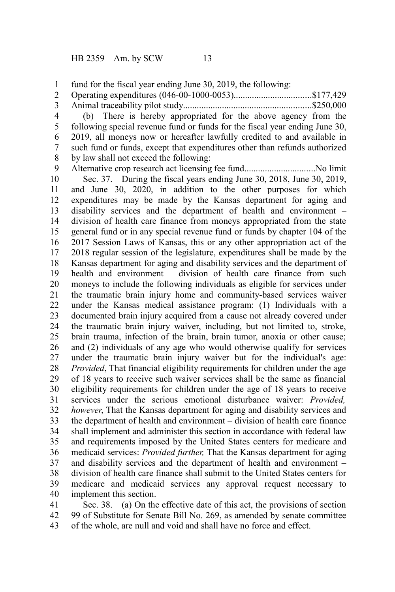fund for the fiscal year ending June 30, 2019, the following: 1

Operating expenditures (046-00-1000-0053)..................................\$177,429 2

Animal traceability pilot study........................................................\$250,000 3

(b) There is hereby appropriated for the above agency from the following special revenue fund or funds for the fiscal year ending June 30, 2019, all moneys now or hereafter lawfully credited to and available in such fund or funds, except that expenditures other than refunds authorized by law shall not exceed the following: 4 5 6 7 8

Alternative crop research act licensing fee fund...............................No limit Sec. 37. During the fiscal years ending June 30, 2018, June 30, 2019, and June 30, 2020, in addition to the other purposes for which expenditures may be made by the Kansas department for aging and disability services and the department of health and environment – division of health care finance from moneys appropriated from the state general fund or in any special revenue fund or funds by chapter 104 of the 2017 Session Laws of Kansas, this or any other appropriation act of the 2018 regular session of the legislature, expenditures shall be made by the Kansas department for aging and disability services and the department of health and environment – division of health care finance from such moneys to include the following individuals as eligible for services under the traumatic brain injury home and community-based services waiver under the Kansas medical assistance program: (1) Individuals with a documented brain injury acquired from a cause not already covered under the traumatic brain injury waiver, including, but not limited to, stroke, brain trauma, infection of the brain, brain tumor, anoxia or other cause; and (2) individuals of any age who would otherwise qualify for services under the traumatic brain injury waiver but for the individual's age: *Provided*, That financial eligibility requirements for children under the age of 18 years to receive such waiver services shall be the same as financial eligibility requirements for children under the age of 18 years to receive services under the serious emotional disturbance waiver: *Provided, however*, That the Kansas department for aging and disability services and the department of health and environment – division of health care finance shall implement and administer this section in accordance with federal law and requirements imposed by the United States centers for medicare and medicaid services: *Provided further,* That the Kansas department for aging and disability services and the department of health and environment – division of health care finance shall submit to the United States centers for medicare and medicaid services any approval request necessary to implement this section. 9 10 11 12 13 14 15 16 17 18 19 20 21 22 23 24 25 26 27 28 29 30 31 32 33 34 35 36 37 38 39 40

Sec. 38. (a) On the effective date of this act, the provisions of section 99 of Substitute for Senate Bill No. 269, as amended by senate committee of the whole, are null and void and shall have no force and effect. 41 42 43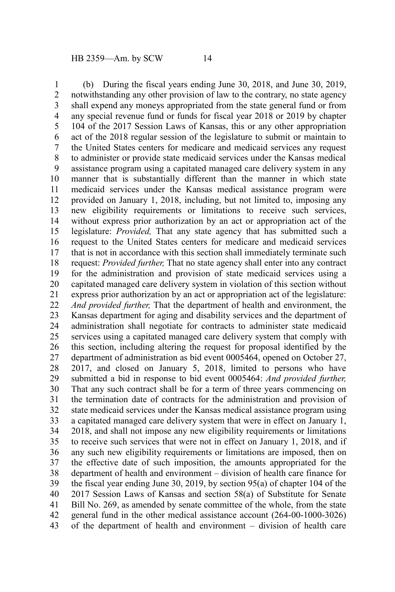(b) During the fiscal years ending June 30, 2018, and June 30, 2019, notwithstanding any other provision of law to the contrary, no state agency shall expend any moneys appropriated from the state general fund or from any special revenue fund or funds for fiscal year 2018 or 2019 by chapter 104 of the 2017 Session Laws of Kansas, this or any other appropriation act of the 2018 regular session of the legislature to submit or maintain to the United States centers for medicare and medicaid services any request to administer or provide state medicaid services under the Kansas medical assistance program using a capitated managed care delivery system in any manner that is substantially different than the manner in which state medicaid services under the Kansas medical assistance program were provided on January 1, 2018, including, but not limited to, imposing any new eligibility requirements or limitations to receive such services, without express prior authorization by an act or appropriation act of the legislature: *Provided,* That any state agency that has submitted such a request to the United States centers for medicare and medicaid services that is not in accordance with this section shall immediately terminate such request: *Provided further,* That no state agency shall enter into any contract for the administration and provision of state medicaid services using a capitated managed care delivery system in violation of this section without express prior authorization by an act or appropriation act of the legislature: *And provided further,* That the department of health and environment, the Kansas department for aging and disability services and the department of administration shall negotiate for contracts to administer state medicaid services using a capitated managed care delivery system that comply with this section, including altering the request for proposal identified by the department of administration as bid event 0005464, opened on October 27, 2017, and closed on January 5, 2018, limited to persons who have submitted a bid in response to bid event 0005464: *And provided further,* That any such contract shall be for a term of three years commencing on the termination date of contracts for the administration and provision of state medicaid services under the Kansas medical assistance program using a capitated managed care delivery system that were in effect on January 1, 2018, and shall not impose any new eligibility requirements or limitations to receive such services that were not in effect on January 1, 2018, and if any such new eligibility requirements or limitations are imposed, then on the effective date of such imposition, the amounts appropriated for the department of health and environment – division of health care finance for the fiscal year ending June 30, 2019, by section 95(a) of chapter 104 of the 2017 Session Laws of Kansas and section 58(a) of Substitute for Senate Bill No. 269, as amended by senate committee of the whole, from the state general fund in the other medical assistance account (264-00-1000-3026) of the department of health and environment – division of health care 1 2 3 4 5 6 7 8 9 10 11 12 13 14 15 16 17 18 19 20 21 22 23 24 25 26 27 28 29 30 31 32 33 34 35 36 37 38 39 40 41 42 43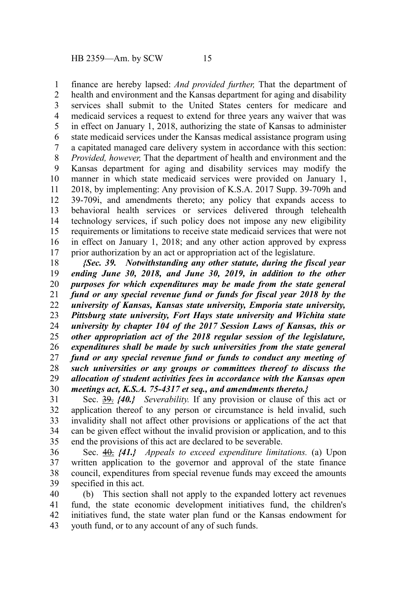finance are hereby lapsed: *And provided further,* That the department of health and environment and the Kansas department for aging and disability services shall submit to the United States centers for medicare and medicaid services a request to extend for three years any waiver that was in effect on January 1, 2018, authorizing the state of Kansas to administer state medicaid services under the Kansas medical assistance program using a capitated managed care delivery system in accordance with this section: *Provided, however,* That the department of health and environment and the Kansas department for aging and disability services may modify the manner in which state medicaid services were provided on January 1, 2018, by implementing: Any provision of K.S.A. 2017 Supp. 39-709h and 39-709i, and amendments thereto; any policy that expands access to behavioral health services or services delivered through telehealth technology services, if such policy does not impose any new eligibility requirements or limitations to receive state medicaid services that were not in effect on January 1, 2018; and any other action approved by express prior authorization by an act or appropriation act of the legislature. 1 2 3 4 5 6 7 8 9 10 11 12 13 14 15 16 17

*{Sec. 39. Notwithstanding any other statute, during the fiscal year ending June 30, 2018, and June 30, 2019, in addition to the other purposes for which expenditures may be made from the state general fund or any special revenue fund or funds for fiscal year 2018 by the university of Kansas, Kansas state university, Emporia state university, Pittsburg state university, Fort Hays state university and Wichita state university by chapter 104 of the 2017 Session Laws of Kansas, this or other appropriation act of the 2018 regular session of the legislature, expenditures shall be made by such universities from the state general fund or any special revenue fund or funds to conduct any meeting of such universities or any groups or committees thereof to discuss the allocation of student activities fees in accordance with the Kansas open meetings act, K.S.A. 75-4317 et seq., and amendments thereto.}* 18 19 20 21 22 23 24 25 26 27 28 29 30

Sec. 39. *{40.} Severability.* If any provision or clause of this act or application thereof to any person or circumstance is held invalid, such invalidity shall not affect other provisions or applications of the act that can be given effect without the invalid provision or application, and to this end the provisions of this act are declared to be severable. 31 32 33 34 35

Sec. 40. *{41.} Appeals to exceed expenditure limitations.* (a) Upon written application to the governor and approval of the state finance council, expenditures from special revenue funds may exceed the amounts specified in this act. 36 37 38 39

(b) This section shall not apply to the expanded lottery act revenues fund, the state economic development initiatives fund, the children's initiatives fund, the state water plan fund or the Kansas endowment for youth fund, or to any account of any of such funds. 40 41 42 43